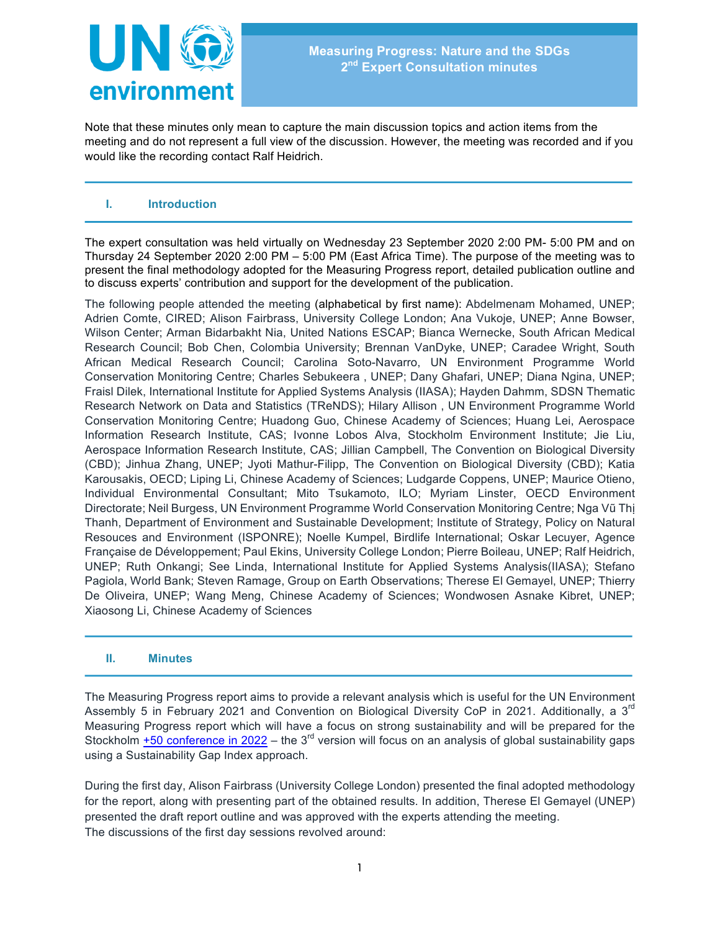

Note that these minutes only mean to capture the main discussion topics and action items from the meeting and do not represent a full view of the discussion. However, the meeting was recorded and if you would like the recording contact Ralf Heidrich.

## **I. Introduction**

The expert consultation was held virtually on Wednesday 23 September 2020 2:00 PM- 5:00 PM and on Thursday 24 September 2020 2:00 PM – 5:00 PM (East Africa Time). The purpose of the meeting was to present the final methodology adopted for the Measuring Progress report, detailed publication outline and to discuss experts' contribution and support for the development of the publication.

The following people attended the meeting (alphabetical by first name): Abdelmenam Mohamed, UNEP; Adrien Comte, CIRED; Alison Fairbrass, University College London; Ana Vukoje, UNEP; Anne Bowser, Wilson Center; Arman Bidarbakht Nia, United Nations ESCAP; Bianca Wernecke, South African Medical Research Council; Bob Chen, Colombia University; Brennan VanDyke, UNEP; Caradee Wright, South African Medical Research Council; Carolina Soto-Navarro, UN Environment Programme World Conservation Monitoring Centre; Charles Sebukeera , UNEP; Dany Ghafari, UNEP; Diana Ngina, UNEP; Fraisl Dilek, International Institute for Applied Systems Analysis (IIASA); Hayden Dahmm, SDSN Thematic Research Network on Data and Statistics (TReNDS); Hilary Allison , UN Environment Programme World Conservation Monitoring Centre; Huadong Guo, Chinese Academy of Sciences; Huang Lei, Aerospace Information Research Institute, CAS; Ivonne Lobos Alva, Stockholm Environment Institute; Jie Liu, Aerospace Information Research Institute, CAS; Jillian Campbell, The Convention on Biological Diversity (CBD); Jinhua Zhang, UNEP; Jyoti Mathur-Filipp, The Convention on Biological Diversity (CBD); Katia Karousakis, OECD; Liping Li, Chinese Academy of Sciences; Ludgarde Coppens, UNEP; Maurice Otieno, Individual Environmental Consultant; Mito Tsukamoto, ILO; Myriam Linster, OECD Environment Directorate; Neil Burgess, UN Environment Programme World Conservation Monitoring Centre; Nga Vũ Thị Thanh, Department of Environment and Sustainable Development; Institute of Strategy, Policy on Natural Resouces and Environment (ISPONRE); Noelle Kumpel, Birdlife International; Oskar Lecuyer, Agence Française de Développement; Paul Ekins, University College London; Pierre Boileau, UNEP; Ralf Heidrich, UNEP; Ruth Onkangi; See Linda, International Institute for Applied Systems Analysis(IIASA); Stefano Pagiola, World Bank; Steven Ramage, Group on Earth Observations; Therese El Gemayel, UNEP; Thierry De Oliveira, UNEP; Wang Meng, Chinese Academy of Sciences; Wondwosen Asnake Kibret, UNEP; Xiaosong Li, Chinese Academy of Sciences

## **II. Minutes**

The Measuring Progress report aims to provide a relevant analysis which is useful for the UN Environment Assembly 5 in February 2021 and Convention on Biological Diversity CoP in 2021. Additionally, a 3<sup>rd</sup> Measuring Progress report which will have a focus on strong sustainability and will be prepared for the Stockholm  $+50$  conference in 2022 – the 3<sup>rd</sup> version will focus on an analysis of global sustainability gaps using a Sustainability Gap Index approach.

During the first day, Alison Fairbrass (University College London) presented the final adopted methodology for the report, along with presenting part of the obtained results. In addition, Therese El Gemayel (UNEP) presented the draft report outline and was approved with the experts attending the meeting. The discussions of the first day sessions revolved around: